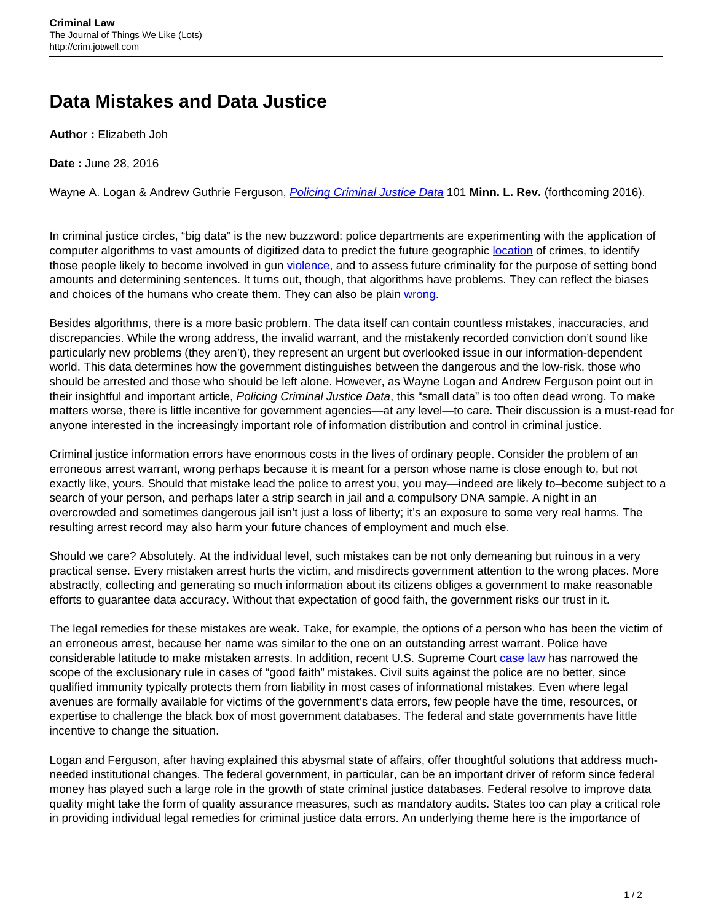## **Data Mistakes and Data Justice**

**Author :** Elizabeth Joh

**Date :** June 28, 2016

Wayne A. Logan & Andrew Guthrie Ferguson, *[Policing Criminal Justice Data](http://ssrn.com/abstract=2761069)* 101 Minn. L. Rev. (forthcoming 2016).

In criminal justice circles, "big data" is the new buzzword: police departments are experimenting with the application of computer algorithms to vast amounts of digitized data to predict the future geographic [location](http://bits.blogs.nytimes.com/2013/06/19/in-hot-pursuit-of-numbers-to-ward-off-crime/) of crimes, to identify those people likely to become involved in gun [violence](http://www.nytimes.com/2015/09/25/us/police-program-aims-to-pinpoint-those-most-likely-to-commit-crimes.html), and to assess future criminality for the purpose of setting bond amounts and determining sentences. It turns out, though, that algorithms have problems. They can reflect the biases and choices of the humans who create them. They can also be plain [wrong](https://www.propublica.org/article/machine-bias-risk-assessments-in-criminal-sentencing).

Besides algorithms, there is a more basic problem. The data itself can contain countless mistakes, inaccuracies, and discrepancies. While the wrong address, the invalid warrant, and the mistakenly recorded conviction don't sound like particularly new problems (they aren't), they represent an urgent but overlooked issue in our information-dependent world. This data determines how the government distinguishes between the dangerous and the low-risk, those who should be arrested and those who should be left alone. However, as Wayne Logan and Andrew Ferguson point out in their insightful and important article, Policing Criminal Justice Data, this "small data" is too often dead wrong. To make matters worse, there is little incentive for government agencies—at any level—to care. Their discussion is a must-read for anyone interested in the increasingly important role of information distribution and control in criminal justice.

Criminal justice information errors have enormous costs in the lives of ordinary people. Consider the problem of an erroneous arrest warrant, wrong perhaps because it is meant for a person whose name is close enough to, but not exactly like, yours. Should that mistake lead the police to arrest you, you may—indeed are likely to–become subject to a search of your person, and perhaps later a strip search in jail and a compulsory DNA sample. A night in an overcrowded and sometimes dangerous jail isn't just a loss of liberty; it's an exposure to some very real harms. The resulting arrest record may also harm your future chances of employment and much else.

Should we care? Absolutely. At the individual level, such mistakes can be not only demeaning but ruinous in a very practical sense. Every mistaken arrest hurts the victim, and misdirects government attention to the wrong places. More abstractly, collecting and generating so much information about its citizens obliges a government to make reasonable efforts to guarantee data accuracy. Without that expectation of good faith, the government risks our trust in it.

The legal remedies for these mistakes are weak. Take, for example, the options of a person who has been the victim of an erroneous arrest, because her name was similar to the one on an outstanding arrest warrant. Police have considerable latitude to make mistaken arrests. In addition, recent U.S. Supreme Court [case law](https://scholar.google.com/scholar_case?q=herring+v+united+states&hl=en&as_sdt=2006&case=3829471951415365195&scilh=0) has narrowed the scope of the exclusionary rule in cases of "good faith" mistakes. Civil suits against the police are no better, since qualified immunity typically protects them from liability in most cases of informational mistakes. Even where legal avenues are formally available for victims of the government's data errors, few people have the time, resources, or expertise to challenge the black box of most government databases. The federal and state governments have little incentive to change the situation.

Logan and Ferguson, after having explained this abysmal state of affairs, offer thoughtful solutions that address muchneeded institutional changes. The federal government, in particular, can be an important driver of reform since federal money has played such a large role in the growth of state criminal justice databases. Federal resolve to improve data quality might take the form of quality assurance measures, such as mandatory audits. States too can play a critical role in providing individual legal remedies for criminal justice data errors. An underlying theme here is the importance of